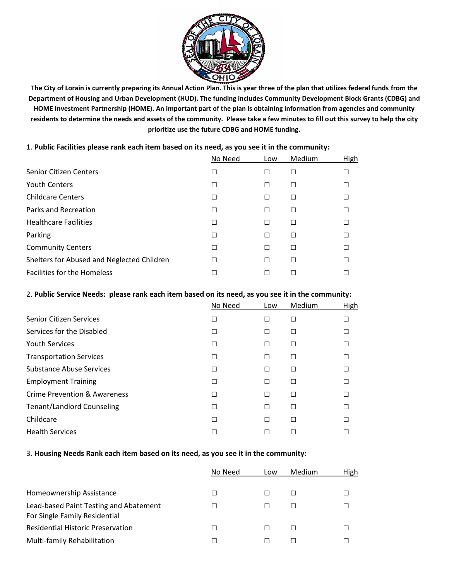

**The City of Lorain is currently preparing its Annual Action Plan. This is year three of the plan that utilizes federal funds from the Department of Housing and Urban Development (HUD). The funding includes Community Development Block Grants (CDBG) and HOME Investment Partnership (HOME). An important part of the plan is obtaining information from agencies and community residents to determine the needs and assets of the community. Please take a few minutes to fill out this survey to help the city prioritize use the future CDBG and HOME funding.**

|  |  |  |  |  |  |  | 1. Public Facilities please rank each item based on its need, as you see it in the community: |
|--|--|--|--|--|--|--|-----------------------------------------------------------------------------------------------|
|--|--|--|--|--|--|--|-----------------------------------------------------------------------------------------------|

|                                            | No Need | Low    | Medium | High |
|--------------------------------------------|---------|--------|--------|------|
| <b>Senior Citizen Centers</b>              | □       | □      | □      |      |
| <b>Youth Centers</b>                       | □       | □      | □      |      |
| <b>Childcare Centers</b>                   | $\Box$  | □      | □      |      |
| Parks and Recreation                       | □       | □      | □      |      |
| <b>Healthcare Facilities</b>               | $\Box$  | □      | П      |      |
| Parking                                    | П       | □      | □      |      |
| <b>Community Centers</b>                   | П       | $\Box$ | П      |      |
| Shelters for Abused and Neglected Children | □       | □      | □      |      |
| <b>Facilities for the Homeless</b>         | г       | □      | П      |      |
|                                            |         |        |        |      |

## 2. **Public Service Needs: please rank each item based on its need, as you see it in the community:**

|                                   | No Need | Low    | Medium | High |
|-----------------------------------|---------|--------|--------|------|
| <b>Senior Citizen Services</b>    | П       | П      | П      |      |
| Services for the Disabled         | $\Box$  | □      | □      |      |
| <b>Youth Services</b>             | П       | □      | $\Box$ |      |
| <b>Transportation Services</b>    | П       | □      | □      |      |
| <b>Substance Abuse Services</b>   | П       | $\Box$ | П      |      |
| <b>Employment Training</b>        | П       | $\Box$ | П      |      |
| Crime Prevention & Awareness      | □       | □      | П      |      |
| <b>Tenant/Landlord Counseling</b> | П       | □      | П      |      |
| Childcare                         | П       | П      | П      |      |
| <b>Health Services</b>            | П       | П      |        |      |
|                                   |         |        |        |      |

## 3. **Housing Needs Rank each item based on its need, as you see it in the community:**

|                                          | No Need | Low    | Medium | High |
|------------------------------------------|---------|--------|--------|------|
|                                          |         |        |        |      |
| Homeownership Assistance                 | □       |        | П      |      |
| Lead-based Paint Testing and Abatement   | E.      | $\Box$ |        |      |
| For Single Family Residential            |         |        |        |      |
| <b>Residential Historic Preservation</b> | □       | Ш      | $\Box$ |      |
| Multi-family Rehabilitation              | П       | П      |        |      |